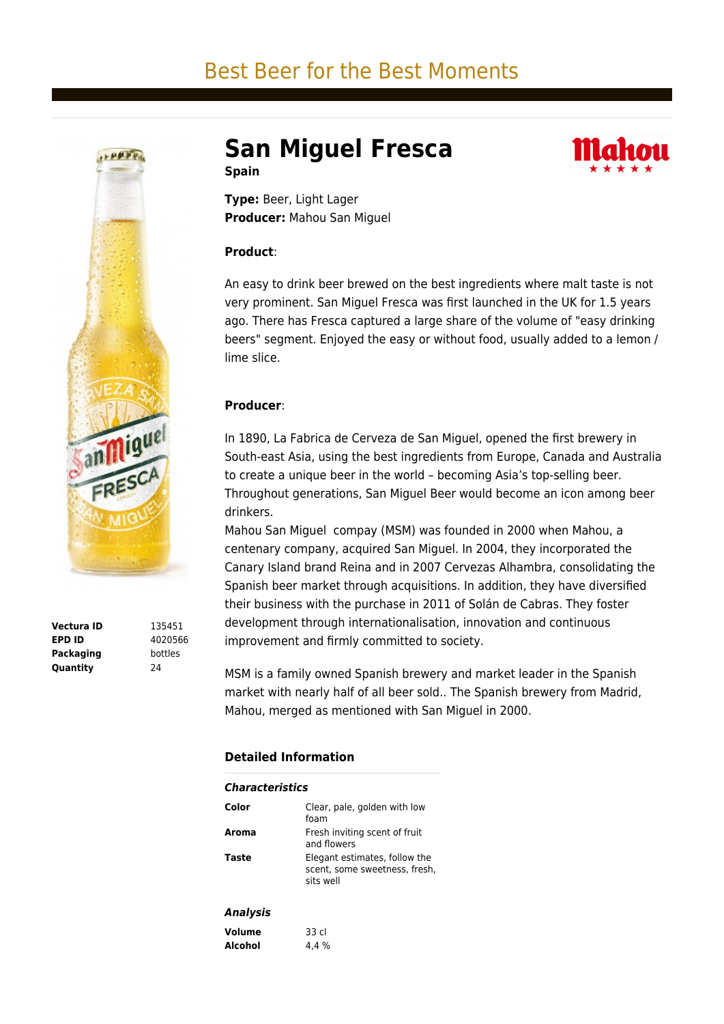# Best Beer for the Best Moments



**Vectura ID** 135451 **EPD ID** 4020566 **Packaging** bottles **Quantity** 24

**San Miguel Fresca Spain**



**Type:** Beer, Light Lager **Producer:** Mahou San Miguel

### **Product**:

An easy to drink beer brewed on the best ingredients where malt taste is not very prominent. San Miguel Fresca was first launched in the UK for 1.5 years ago. There has Fresca captured a large share of the volume of "easy drinking beers" segment. Enjoyed the easy or without food, usually added to a lemon / lime slice.

## **Producer**:

In 1890, La Fabrica de Cerveza de San Miguel, opened the first brewery in South-east Asia, using the best ingredients from Europe, Canada and Australia to create a unique beer in the world – becoming Asia's top-selling beer. Throughout generations, San Miguel Beer would become an icon among beer drinkers.

Mahou San Miguel compay (MSM) was founded in 2000 when Mahou, a centenary company, acquired San Miguel. In 2004, they incorporated the Canary Island brand Reina and in 2007 Cervezas Alhambra, consolidating the Spanish beer market through acquisitions. In addition, they have diversified their business with the purchase in 2011 of Solán de Cabras. They foster development through internationalisation, innovation and continuous improvement and firmly committed to society.

MSM is a family owned Spanish brewery and market leader in the Spanish market with nearly half of all beer sold.. The Spanish brewery from Madrid, Mahou, merged as mentioned with San Miguel in 2000.

## **Detailed Information**

| <b>Characteristics</b> |                                                                             |
|------------------------|-----------------------------------------------------------------------------|
| Color                  | Clear, pale, golden with low<br>foam                                        |
| Aroma                  | Fresh inviting scent of fruit<br>and flowers                                |
| Taste                  | Elegant estimates, follow the<br>scent, some sweetness, fresh,<br>sits well |
| <b>Analysis</b>        |                                                                             |
| <b>Volume</b>          | 33 cl                                                                       |
| Alcohol                | 4.4 %                                                                       |